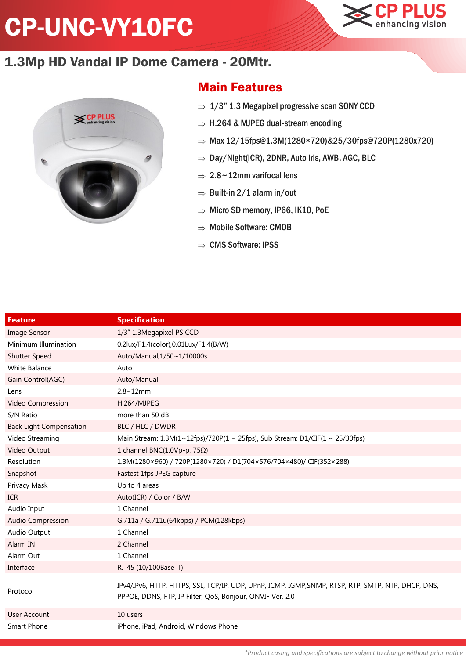## CP-UNC-VY10FC



## 1.3Mp HD Vandal IP Dome Camera - 20Mtr.



## Main Features

- $\Rightarrow$  1/3" 1.3 Megapixel progressive scan SONY CCD
- $\Rightarrow$  H.264 & MJPEG dual-stream encoding
- $\Rightarrow$  Max 12/15fps@1.3M(1280×720)&25/30fps@720P(1280x720)
- $\Rightarrow$  Day/Night(ICR), 2DNR, Auto iris, AWB, AGC, BLC
- $\Rightarrow$  2.8~12mm varifocal lens
- $\Rightarrow$  Built-in 2/1 alarm in/out
- $\Rightarrow$  Micro SD memory, IP66, IK10, PoE
- $\Rightarrow$  Mobile Software: CMOB
- $\Rightarrow$  CMS Software: IPSS

| <b>Feature</b>                 | <b>Specification</b>                                                                                                                                            |
|--------------------------------|-----------------------------------------------------------------------------------------------------------------------------------------------------------------|
| <b>Image Sensor</b>            | 1/3" 1.3Megapixel PS CCD                                                                                                                                        |
| Minimum Illumination           | 0.2lux/F1.4(color),0.01Lux/F1.4(B/W)                                                                                                                            |
| <b>Shutter Speed</b>           | Auto/Manual, 1/50~1/10000s                                                                                                                                      |
| White Balance                  | Auto                                                                                                                                                            |
| Gain Control(AGC)              | Auto/Manual                                                                                                                                                     |
| Lens                           | $2.8 - 12$ mm                                                                                                                                                   |
| Video Compression              | H.264/MJPEG                                                                                                                                                     |
| S/N Ratio                      | more than 50 dB                                                                                                                                                 |
| <b>Back Light Compensation</b> | BLC / HLC / DWDR                                                                                                                                                |
| Video Streaming                | Main Stream: $1.3M(1~12fps)/720P(1~1~25fps)$ , Sub Stream: D1/CIF(1 ~ 25/30fps)                                                                                 |
| Video Output                   | 1 channel BNC(1.0Vp-p, 75Ω)                                                                                                                                     |
| Resolution                     | 1.3M(1280×960) / 720P(1280×720) / D1(704×576/704×480)/ CIF(352×288)                                                                                             |
| Snapshot                       | Fastest 1fps JPEG capture                                                                                                                                       |
| Privacy Mask                   | Up to 4 areas                                                                                                                                                   |
| <b>ICR</b>                     | Auto(ICR) / Color / B/W                                                                                                                                         |
| Audio Input                    | 1 Channel                                                                                                                                                       |
| Audio Compression              | G.711a / G.711u(64kbps) / PCM(128kbps)                                                                                                                          |
| Audio Output                   | 1 Channel                                                                                                                                                       |
| Alarm IN                       | 2 Channel                                                                                                                                                       |
| Alarm Out                      | 1 Channel                                                                                                                                                       |
| Interface                      | RJ-45 (10/100Base-T)                                                                                                                                            |
| Protocol                       | IPv4/IPv6, HTTP, HTTPS, SSL, TCP/IP, UDP, UPnP, ICMP, IGMP, SNMP, RTSP, RTP, SMTP, NTP, DHCP, DNS,<br>PPPOE, DDNS, FTP, IP Filter, QoS, Bonjour, ONVIF Ver. 2.0 |
| <b>User Account</b>            | 10 users                                                                                                                                                        |
| Smart Phone                    | iPhone, iPad, Android, Windows Phone                                                                                                                            |